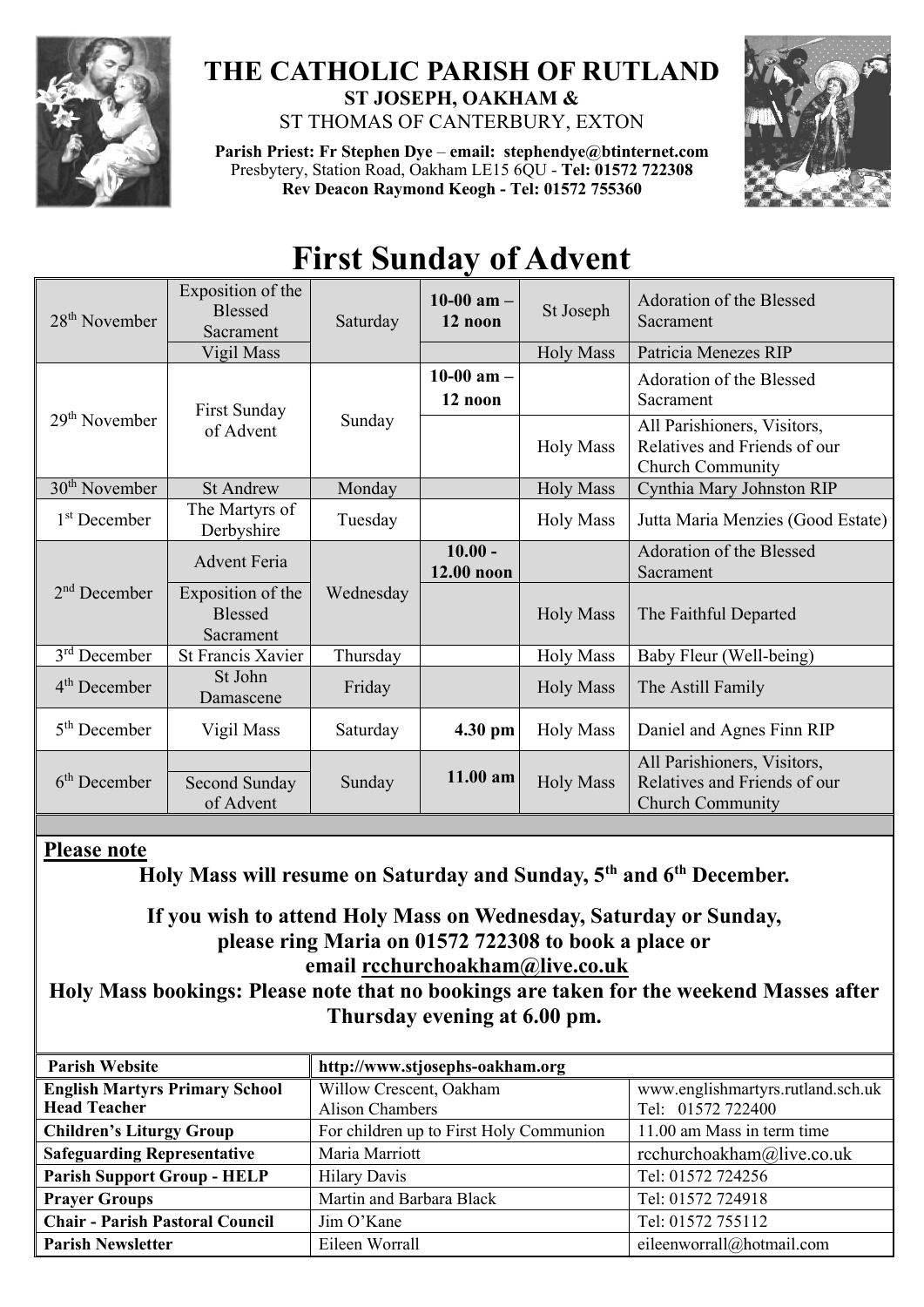

### **THE CATHOLIC PARISH OF RUTLAND ST JOSEPH, OAKHAM &**  ST THOMAS OF CANTERBURY, EXTON

**Parish Priest: Fr Stephen Dye** – **[email: stephendye@btinternet.com](mailto:email:%20%20stephendye@btinternet.com)** Presbytery, Station Road, Oakham LE15 6QU - **Tel: 01572 722308 Rev Deacon Raymond Keogh - Tel: 01572 755360**



# **First Sunday of Advent**

| $28th$ November          | Exposition of the<br><b>Blessed</b><br>Sacrament | Saturday  | 10-00 am $-$<br>12 noon | St Joseph        | Adoration of the Blessed<br>Sacrament                                                  |
|--------------------------|--------------------------------------------------|-----------|-------------------------|------------------|----------------------------------------------------------------------------------------|
|                          | Vigil Mass                                       |           |                         | <b>Holy Mass</b> | Patricia Menezes RIP                                                                   |
| $29th$ November          | First Sunday<br>of Advent                        | Sunday    | 10-00 $am -$<br>12 noon |                  | Adoration of the Blessed<br>Sacrament                                                  |
|                          |                                                  |           |                         | <b>Holy Mass</b> | All Parishioners, Visitors,<br>Relatives and Friends of our<br><b>Church Community</b> |
| $30th$ November          | <b>St Andrew</b>                                 | Monday    |                         | <b>Holy Mass</b> | Cynthia Mary Johnston RIP                                                              |
| 1 <sup>st</sup> December | The Martyrs of<br>Derbyshire                     | Tuesday   |                         | <b>Holy Mass</b> | Jutta Maria Menzies (Good Estate)                                                      |
| $2nd$ December           | <b>Advent Feria</b>                              |           | $10.00 -$<br>12.00 noon |                  | Adoration of the Blessed<br>Sacrament                                                  |
|                          | Exposition of the<br><b>Blessed</b><br>Sacrament | Wednesday |                         | <b>Holy Mass</b> | The Faithful Departed                                                                  |
| $3rd$ December           | <b>St Francis Xavier</b>                         | Thursday  |                         | <b>Holy Mass</b> | Baby Fleur (Well-being)                                                                |
| $4th$ December           | St John<br>Damascene                             | Friday    |                         | <b>Holy Mass</b> | The Astill Family                                                                      |
| $5th$ December           | Vigil Mass                                       | Saturday  | 4.30 pm                 | <b>Holy Mass</b> | Daniel and Agnes Finn RIP                                                              |
| $6th$ December           | Second Sunday<br>of Advent                       | Sunday    | 11.00 am                | <b>Holy Mass</b> | All Parishioners, Visitors,<br>Relatives and Friends of our<br><b>Church Community</b> |

#### **Please note**

**Holy Mass will resume on Saturday and Sunday, 5th and 6th December.**

#### **If you wish to attend Holy Mass on Wednesday, Saturday or Sunday, please ring Maria on 01572 722308 to book a place or email [rcchurchoakham@live.co.uk](mailto:rcchurchoakham@live.co.uk)**

#### **Holy Mass bookings: Please note that no bookings are taken for the weekend Masses after Thursday evening at 6.00 pm.**

| <b>Parish Website</b>                  | http://www.stjosephs-oakham.org         |                                   |  |  |
|----------------------------------------|-----------------------------------------|-----------------------------------|--|--|
| <b>English Martyrs Primary School</b>  | Willow Crescent, Oakham                 | www.englishmartyrs.rutland.sch.uk |  |  |
| <b>Head Teacher</b>                    | <b>Alison Chambers</b>                  | Tel: 01572 722400                 |  |  |
| <b>Children's Liturgy Group</b>        | For children up to First Holy Communion | 11.00 am Mass in term time        |  |  |
| <b>Safeguarding Representative</b>     | Maria Marriott                          | rcchurchoakham@live.co.uk         |  |  |
| <b>Parish Support Group - HELP</b>     | <b>Hilary Davis</b>                     | Tel: 01572 724256                 |  |  |
| <b>Prayer Groups</b>                   | Martin and Barbara Black                | Tel: 01572 724918                 |  |  |
| <b>Chair - Parish Pastoral Council</b> | Jim O'Kane                              | Tel: 01572 755112                 |  |  |
| <b>Parish Newsletter</b>               | Eileen Worrall                          | eileenworrall@hotmail.com         |  |  |